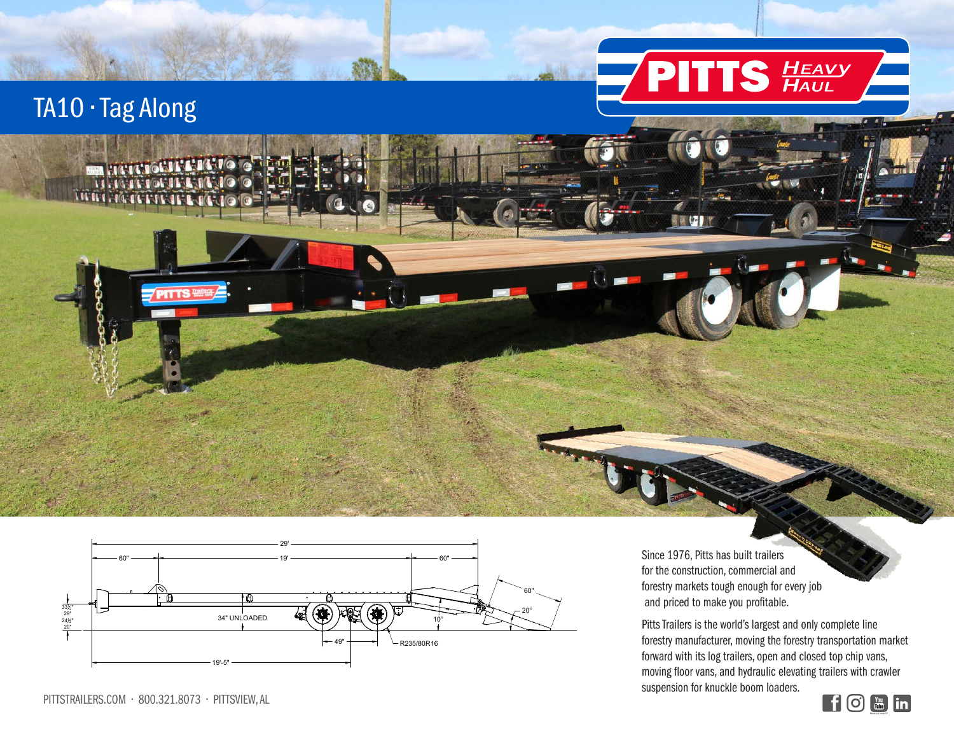

 $\blacksquare$ 

## TA10 • Tag Along



PITTS TRAINING

®

Since 1976, Pitts has built trailers for the construction, commercial and forestry markets tough enough for every job and priced to make you profitable.

Pitts Trailers is the world's largest and only complete line forestry manufacturer, moving the forestry transportation market forward with its log trailers, open and closed top chip vans, moving floor vans, and hydraulic elevating trailers with crawler suspension for knuckle boom loaders.